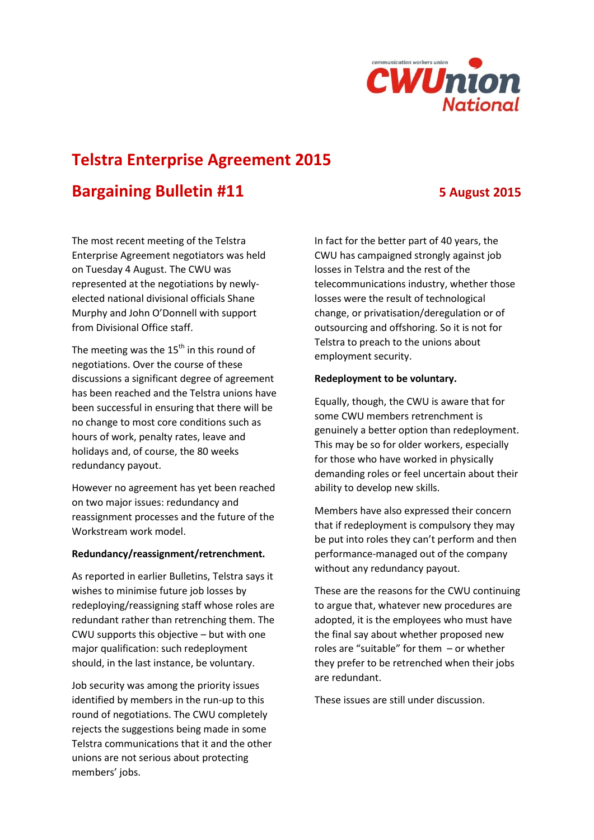

# **Telstra Enterprise Agreement 2015**

# **Bargaining Bulletin #11 5 August 2015**

The most recent meeting of the Telstra Enterprise Agreement negotiators was held on Tuesday 4 August. The CWU was represented at the negotiations by newlyelected national divisional officials Shane Murphy and John O'Donnell with support from Divisional Office staff.

The meeting was the  $15<sup>th</sup>$  in this round of negotiations. Over the course of these discussions a significant degree of agreement has been reached and the Telstra unions have been successful in ensuring that there will be no change to most core conditions such as hours of work, penalty rates, leave and holidays and, of course, the 80 weeks redundancy payout.

However no agreement has yet been reached on two major issues: redundancy and reassignment processes and the future of the Workstream work model.

## **Redundancy/reassignment/retrenchment.**

As reported in earlier Bulletins, Telstra says it wishes to minimise future job losses by redeploying/reassigning staff whose roles are redundant rather than retrenching them. The CWU supports this objective – but with one major qualification: such redeployment should, in the last instance, be voluntary.

Job security was among the priority issues identified by members in the run-up to this round of negotiations. The CWU completely rejects the suggestions being made in some Telstra communications that it and the other unions are not serious about protecting members' jobs.

In fact for the better part of 40 years, the CWU has campaigned strongly against job losses in Telstra and the rest of the telecommunications industry, whether those losses were the result of technological change, or privatisation/deregulation or of outsourcing and offshoring. So it is not for Telstra to preach to the unions about employment security.

## **Redeployment to be voluntary.**

Equally, though, the CWU is aware that for some CWU members retrenchment is genuinely a better option than redeployment. This may be so for older workers, especially for those who have worked in physically demanding roles or feel uncertain about their ability to develop new skills.

Members have also expressed their concern that if redeployment is compulsory they may be put into roles they can't perform and then performance-managed out of the company without any redundancy payout.

These are the reasons for the CWU continuing to argue that, whatever new procedures are adopted, it is the employees who must have the final say about whether proposed new roles are "suitable" for them – or whether they prefer to be retrenched when their jobs are redundant.

These issues are still under discussion.